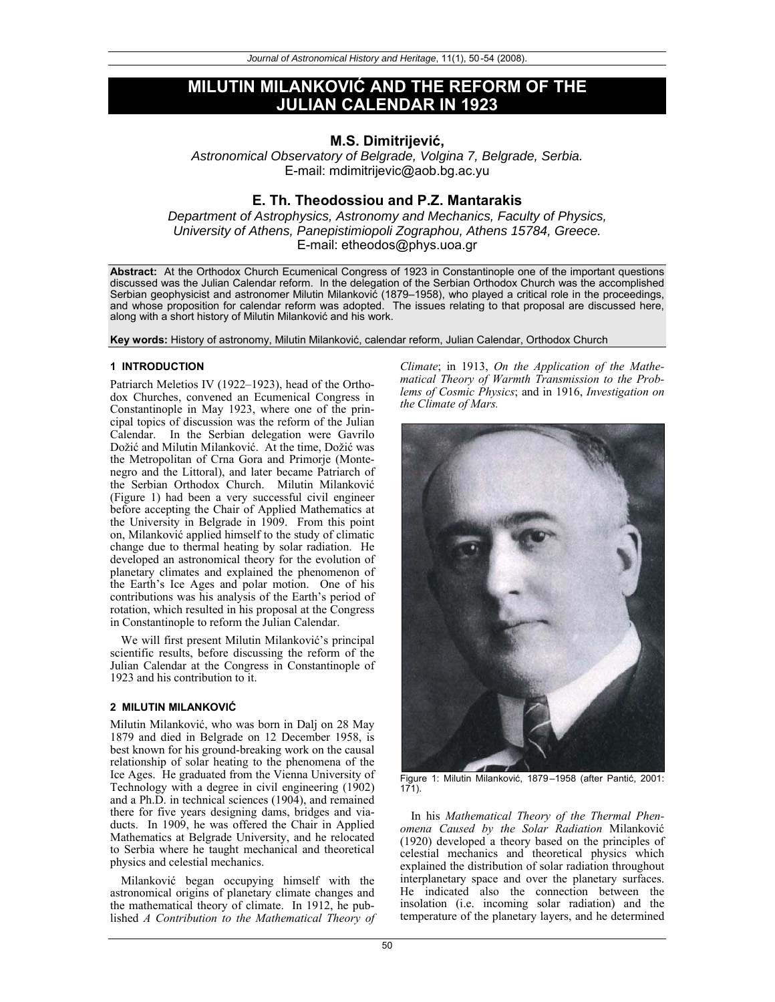# **MILUTIN MILANKOVIû AND THE REFORM OF THE JULIAN CALENDAR IN 1923**

## **M.S. Dimitrijeviü,**

Astronomical Observatory of Belgrade, Volgina 7, Belgrade, Serbia. E-mail: mdimitrijevic@aob.bg.ac.yu

## **E. Th. Theodossiou and P.Z. Mantarakis**

Department of Astrophysics, Astronomy and Mechanics, Faculty of Physics, University of Athens, Panepistimiopoli Zographou, Athens 15784, Greece. E-mail: etheodos@phys.uoa.gr

**Abstract:** At the Orthodox Church Ecumenical Congress of 1923 in Constantinople one of the important questions discussed was the Julian Calendar reform. In the delegation of the Serbian Orthodox Church was the accomplished Serbian geophysicist and astronomer Milutin Milanković (1879–1958), who played a critical role in the proceedings, and whose proposition for calendar reform was adopted. The issues relating to that proposal are discussed here, along with a short history of Milutin Milanković and his work.

Key words: History of astronomy, Milutin Milanković, calendar reform, Julian Calendar, Orthodox Church

#### **1 INTRODUCTION**

Patriarch Meletios IV (1922–1923), head of the Orthodox Churches, convened an Ecumenical Congress in Constantinople in May 1923, where one of the principal topics of discussion was the reform of the Julian Calendar. In the Serbian delegation were Gavrilo Dožić and Milutin Milanković. At the time, Dožić was the Metropolitan of Crna Gora and Primorje (Montenegro and the Littoral), and later became Patriarch of the Serbian Orthodox Church. Milutin Milanković (Figure 1) had been a very successful civil engineer before accepting the Chair of Applied Mathematics at the University in Belgrade in 1909. From this point on, Milanković applied himself to the study of climatic change due to thermal heating by solar radiation. He developed an astronomical theory for the evolution of planetary climates and explained the phenomenon of the Earth's Ice Ages and polar motion. One of his contributions was his analysis of the Earth's period of rotation, which resulted in his proposal at the Congress in Constantinople to reform the Julian Calendar.

We will first present Milutin Milanković's principal scientific results, before discussing the reform of the Julian Calendar at the Congress in Constantinople of 1923 and his contribution to it.

#### **2 MILUTIN MILANKOVIû**

Milutin Milanković, who was born in Dalj on 28 May 1879 and died in Belgrade on 12 December 1958, is best known for his ground-breaking work on the causal relationship of solar heating to the phenomena of the Ice Ages. He graduated from the Vienna University of Technology with a degree in civil engineering (1902) and a Ph.D. in technical sciences (1904), and remained there for five years designing dams, bridges and viaducts. In 1909, he was offered the Chair in Applied Mathematics at Belgrade University, and he relocated to Serbia where he taught mechanical and theoretical physics and celestial mechanics.

Milanković began occupying himself with the astronomical origins of planetary climate changes and the mathematical theory of climate. In 1912, he published *A Contribution to the Mathematical Theory of* *Climate*; in 1913, *On the Application of the Mathematical Theory of Warmth Transmission to the Problems of Cosmic Physics*; and in 1916, *Investigation on the Climate of Mars.*



Figure 1: Milutin Milanković, 1879–1958 (after Pantić, 2001: 171).

In his *Mathematical Theory of the Thermal Phenomena Caused by the Solar Radiation* Milankoviü (1920) developed a theory based on the principles of celestial mechanics and theoretical physics which explained the distribution of solar radiation throughout interplanetary space and over the planetary surfaces. He indicated also the connection between the insolation (i.e. incoming solar radiation) and the temperature of the planetary layers, and he determined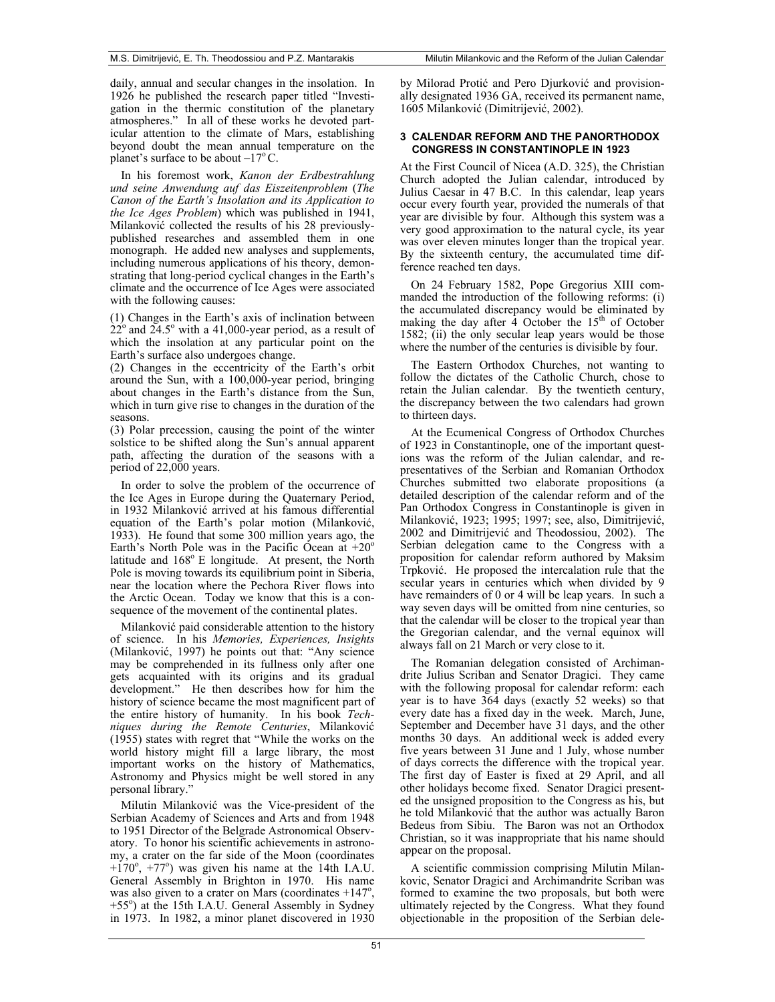daily, annual and secular changes in the insolation. In 1926 he published the research paper titled "Investigation in the thermic constitution of the planetary atmospheres." In all of these works he devoted particular attention to the climate of Mars, establishing beyond doubt the mean annual temperature on the planet's surface to be about  $-17^{\circ}$  C.

In his foremost work, *Kanon der Erdbestrahlung und seine Anwendung auf das Eiszeitenproblem* (*The Canon of the Earth's Insolation and its Application to the Ice Ages Problem*) which was published in 1941, Milanković collected the results of his 28 previouslypublished researches and assembled them in one monograph. He added new analyses and supplements, including numerous applications of his theory, demonstrating that long-period cyclical changes in the Earth's climate and the occurrence of Ice Ages were associated with the following causes:

(1) Changes in the Earth's axis of inclination between  $22^{\circ}$  and  $24.5^{\circ}$  with a 41,000-year period, as a result of which the insolation at any particular point on the Earth's surface also undergoes change.

(2) Changes in the eccentricity of the Earth's orbit around the Sun, with a 100,000-year period, bringing about changes in the Earth's distance from the Sun, which in turn give rise to changes in the duration of the seasons.

(3) Polar precession, causing the point of the winter solstice to be shifted along the Sun's annual apparent path, affecting the duration of the seasons with a period of 22,000 years.

In order to solve the problem of the occurrence of the Ice Ages in Europe during the Quaternary Period, in 1932 Milanković arrived at his famous differential equation of the Earth's polar motion (Milanković, 1933). He found that some 300 million years ago, the Earth's North Pole was in the Pacific Ocean at  $+20^{\circ}$ latitude and  $168^{\circ}$  E longitude. At present, the North Pole is moving towards its equilibrium point in Siberia, near the location where the Pechora River flows into the Arctic Ocean. Today we know that this is a consequence of the movement of the continental plates.

Milanković paid considerable attention to the history of science. In his *Memories, Experiences, Insights* (Milanković, 1997) he points out that: "Any science may be comprehended in its fullness only after one gets acquainted with its origins and its gradual development." He then describes how for him the history of science became the most magnificent part of the entire history of humanity. In his book *Techniques during the Remote Centuries*, Milankoviü (1955) states with regret that "While the works on the world history might fill a large library, the most important works on the history of Mathematics, Astronomy and Physics might be well stored in any personal library."

Milutin Milanković was the Vice-president of the Serbian Academy of Sciences and Arts and from 1948 to 1951 Director of the Belgrade Astronomical Observatory. To honor his scientific achievements in astronomy, a crater on the far side of the Moon (coordinates  $+170^{\circ}$ ,  $+77^{\circ}$ ) was given his name at the 14th I.A.U. General Assembly in Brighton in 1970. His name was also given to a crater on Mars (coordinates  $+147^\circ$ , +55°) at the 15th I.A.U. General Assembly in Sydney in 1973. In 1982, a minor planet discovered in 1930

by Milorad Protić and Pero Djurković and provisionally designated 1936 GA, received its permanent name, 1605 Milanković (Dimitrijević, 2002).

### **3 CALENDAR REFORM AND THE PANORTHODOX CONGRESS IN CONSTANTINOPLE IN 1923**

At the First Council of Nicea (A.D. 325), the Christian Church adopted the Julian calendar, introduced by Julius Caesar in 47 B.C. In this calendar, leap years occur every fourth year, provided the numerals of that year are divisible by four. Although this system was a very good approximation to the natural cycle, its year was over eleven minutes longer than the tropical year. By the sixteenth century, the accumulated time difference reached ten days.

On 24 February 1582, Pope Gregorius XIII commanded the introduction of the following reforms: (i) the accumulated discrepancy would be eliminated by making the day after  $\hat{4}$  October the 15<sup>th</sup> of October 1582; (ii) the only secular leap years would be those where the number of the centuries is divisible by four.

The Eastern Orthodox Churches, not wanting to follow the dictates of the Catholic Church, chose to retain the Julian calendar. By the twentieth century, the discrepancy between the two calendars had grown to thirteen days.

At the Ecumenical Congress of Orthodox Churches of 1923 in Constantinople, one of the important questions was the reform of the Julian calendar, and representatives of the Serbian and Romanian Orthodox Churches submitted two elaborate propositions (a detailed description of the calendar reform and of the Pan Orthodox Congress in Constantinople is given in Milanković, 1923; 1995; 1997; see, also, Dimitrijević, 2002 and Dimitrijević and Theodossiou, 2002). The Serbian delegation came to the Congress with a proposition for calendar reform authored by Maksim Trpković. He proposed the intercalation rule that the secular years in centuries which when divided by 9 have remainders of 0 or 4 will be leap years. In such a way seven days will be omitted from nine centuries, so that the calendar will be closer to the tropical year than the Gregorian calendar, and the vernal equinox will always fall on 21 March or very close to it.

The Romanian delegation consisted of Archimandrite Julius Scriban and Senator Dragici. They came with the following proposal for calendar reform: each year is to have 364 days (exactly 52 weeks) so that every date has a fixed day in the week. March, June, September and December have 31 days, and the other months 30 days. An additional week is added every five years between 31 June and 1 July, whose number of days corrects the difference with the tropical year. The first day of Easter is fixed at 29 April, and all other holidays become fixed. Senator Dragici presented the unsigned proposition to the Congress as his, but he told Milanković that the author was actually Baron Bedeus from Sibiu. The Baron was not an Orthodox Christian, so it was inappropriate that his name should appear on the proposal.

A scientific commission comprising Milutin Milankovic, Senator Dragici and Archimandrite Scriban was formed to examine the two proposals, but both were ultimately rejected by the Congress. What they found objectionable in the proposition of the Serbian dele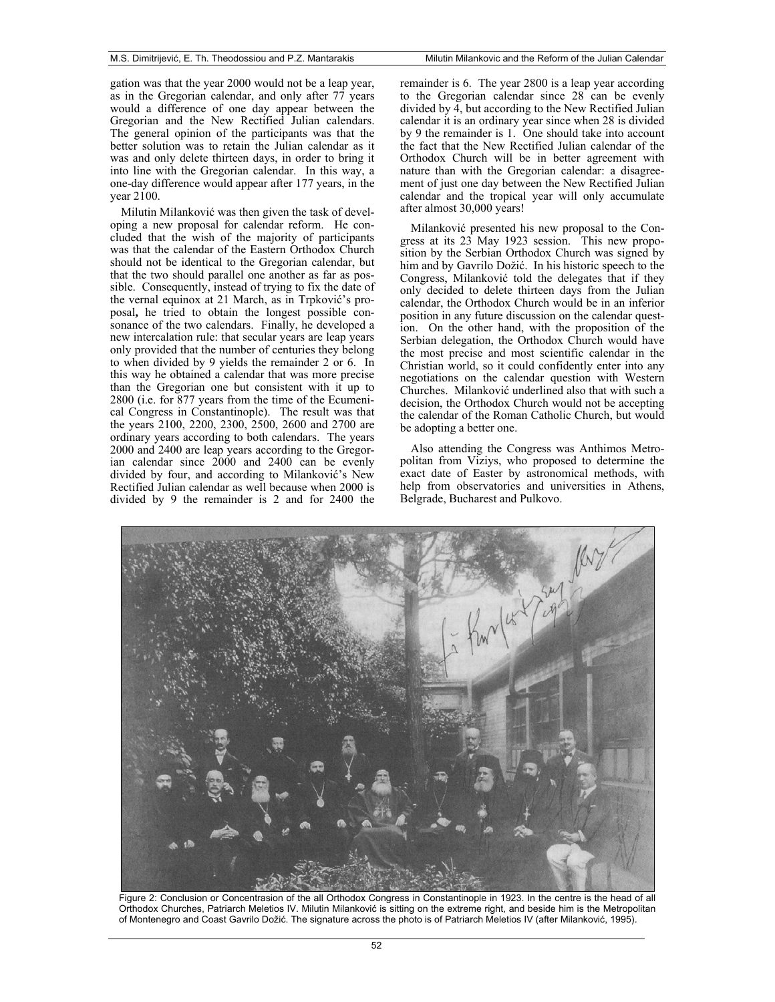gation was that the year 2000 would not be a leap year, as in the Gregorian calendar, and only after 77 years would a difference of one day appear between the Gregorian and the New Rectified Julian calendars. The general opinion of the participants was that the better solution was to retain the Julian calendar as it was and only delete thirteen days, in order to bring it into line with the Gregorian calendar. In this way, a one-day difference would appear after 177 years, in the year 2100.

Milutin Milanković was then given the task of developing a new proposal for calendar reform. He concluded that the wish of the majority of participants was that the calendar of the Eastern Orthodox Church should not be identical to the Gregorian calendar, but that the two should parallel one another as far as possible. Consequently, instead of trying to fix the date of the vernal equinox at 21 March, as in Trpković's proposal**,** he tried to obtain the longest possible consonance of the two calendars. Finally, he developed a new intercalation rule: that secular years are leap years only provided that the number of centuries they belong to when divided by 9 yields the remainder 2 or 6. In this way he obtained a calendar that was more precise than the Gregorian one but consistent with it up to 2800 (i.e. for 877 years from the time of the Ecumenical Congress in Constantinople). The result was that the years 2100, 2200, 2300, 2500, 2600 and 2700 are ordinary years according to both calendars. The years 2000 and 2400 are leap years according to the Gregorian calendar since 2000 and 2400 can be evenly divided by four, and according to Milanković's New Rectified Julian calendar as well because when 2000 is divided by 9 the remainder is 2 and for 2400 the remainder is 6. The year 2800 is a leap year according to the Gregorian calendar since 28 can be evenly divided by 4, but according to the New Rectified Julian calendar it is an ordinary year since when 28 is divided by 9 the remainder is 1. One should take into account the fact that the New Rectified Julian calendar of the Orthodox Church will be in better agreement with nature than with the Gregorian calendar: a disagreement of just one day between the New Rectified Julian calendar and the tropical year will only accumulate after almost 30,000 years!

Milanković presented his new proposal to the Congress at its 23 May 1923 session. This new proposition by the Serbian Orthodox Church was signed by him and by Gavrilo Dožić. In his historic speech to the Congress, Milanković told the delegates that if they only decided to delete thirteen days from the Julian calendar, the Orthodox Church would be in an inferior position in any future discussion on the calendar question. On the other hand, with the proposition of the Serbian delegation, the Orthodox Church would have the most precise and most scientific calendar in the Christian world, so it could confidently enter into any negotiations on the calendar question with Western Churches. Milanković underlined also that with such a decision, the Orthodox Church would not be accepting the calendar of the Roman Catholic Church, but would be adopting a better one.

Also attending the Congress was Anthimos Metropolitan from Viziys, who proposed to determine the exact date of Easter by astronomical methods, with help from observatories and universities in Athens, Belgrade, Bucharest and Pulkovo.



Figure 2: Conclusion or Concentrasion of the all Orthodox Congress in Constantinople in 1923. In the centre is the head of all Orthodox Churches, Patriarch Meletios IV. Milutin Milanković is sitting on the extreme right, and beside him is the Metropolitan of Montenegro and Coast Gavrilo Dožić. The signature across the photo is of Patriarch Meletios IV (after Milanković, 1995).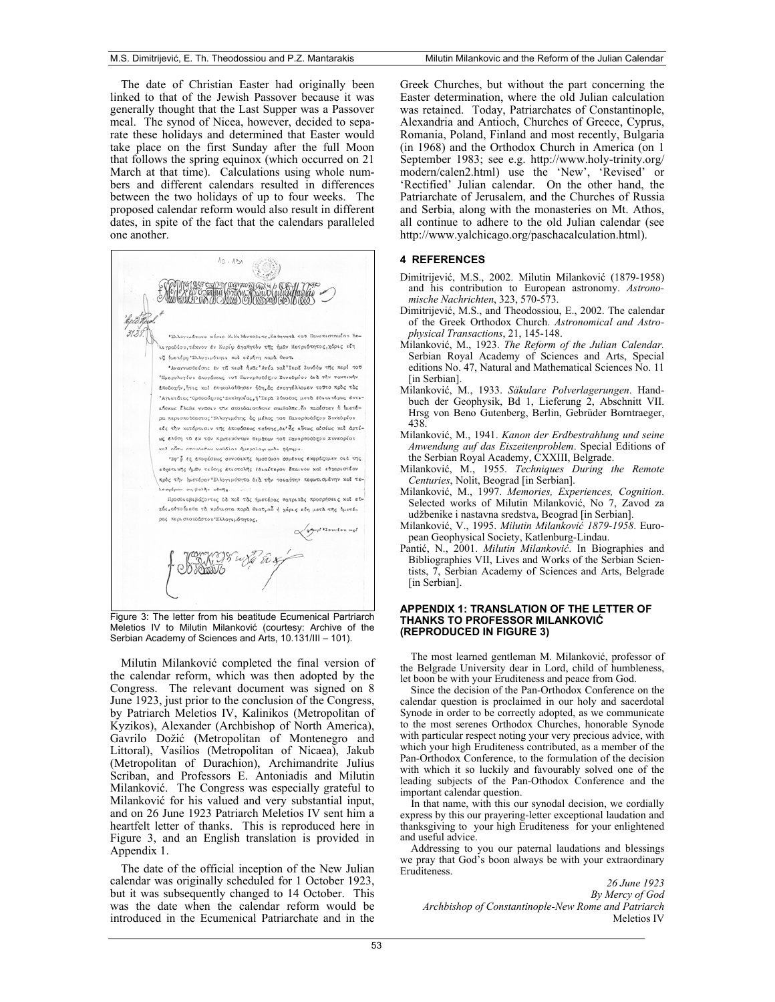The date of Christian Easter had originally been linked to that of the Jewish Passover because it was generally thought that the Last Supper was a Passover meal. The synod of Nicea, however, decided to separate these holidays and determined that Easter would take place on the first Sunday after the full Moon that follows the spring equinox (which occurred on 21 March at that time). Calculations using whole numbers and different calendars resulted in differences between the two holidays of up to four weeks. The proposed calendar reform would also result in different dates, in spite of the fact that the calendars paralleled one another.



Figure 3: The letter from his beatitude Ecumenical Partriarch Meletios IV to Milutin Milanković (courtesy: Archive of the Serbian Academy of Sciences and Arts, 10.131/III – 101).

Milutin Milanković completed the final version of the calendar reform, which was then adopted by the Congress. The relevant document was signed on 8 June 1923, just prior to the conclusion of the Congress, by Patriarch Meletios IV, Kalinikos (Metropolitan of Kyzikos), Alexander (Archbishop of North America), Gavrilo Dožić (Metropolitan of Montenegro and Littoral), Vasilios (Metropolitan of Nicaea), Jakub (Metropolitan of Durachion), Archimandrite Julius Scriban, and Professors E. Antoniadis and Milutin Milanković. The Congress was especially grateful to Milanković for his valued and very substantial input, and on 26 June 1923 Patriarch Meletios IV sent him a heartfelt letter of thanks. This is reproduced here in Figure 3, and an English translation is provided in Appendix 1.

The date of the official inception of the New Julian calendar was originally scheduled for 1 October 1923, but it was subsequently changed to 14 October. This was the date when the calendar reform would be introduced in the Ecumenical Patriarchate and in the Greek Churches, but without the part concerning the Easter determination, where the old Julian calculation was retained. Today, Patriarchates of Constantinople, Alexandria and Antioch, Churches of Greece, Cyprus, Romania, Poland, Finland and most recently, Bulgaria (in 1968) and the Orthodox Church in America (on 1 September 1983; see e.g. http://www.holy-trinity.org/ modern/calen2.html) use the 'New', 'Revised' or 'Rectified' Julian calendar. On the other hand, the Patriarchate of Jerusalem, and the Churches of Russia and Serbia, along with the monasteries on Mt. Athos, all continue to adhere to the old Julian calendar (see http://www.yalchicago.org/paschacalculation.html).

#### **4 REFERENCES**

- Dimitrijević, M.S., 2002. Milutin Milanković (1879-1958) and his contribution to European astronomy. *Astronomische Nachrichten*, 323, 570-573.
- Dimitrijević, M.S., and Theodossiou, E., 2002. The calendar of the Greek Orthodox Church. *Astronomical and Astrophysical Transactions*, 21, 145-148.
- Milanković, M., 1923. *The Reform of the Julian Calendar*. Serbian Royal Academy of Sciences and Arts, Special editions No. 47, Natural and Mathematical Sciences No. 11 [in Serbian].
- Milanković, M., 1933. Säkulare Polverlagerungen. Handbuch der Geophysik, Bd 1, Lieferung 2, Abschnitt VII. Hrsg von Beno Gutenberg, Berlin, Gebrüder Borntraeger, 438.
- Milankoviü, M., 1941. *Kanon der Erdbestrahlung und seine Anwendung auf das Eiszeitenproblem*. Special Editions of the Serbian Royal Academy, CXXIII, Belgrade.
- Milankoviü, M., 1955. *Techniques During the Remote Centuries*, Nolit, Beograd [in Serbian].
- Milanković, M., 1997. Memories, Experiences, Cognition. Selected works of Milutin Milanković, No 7, Zavod za udžbenike i nastavna sredstva, Beograd [in Serbian].
- Milankoviü, V., 1995. *Milutin Milankoviü 1879-1958*. European Geophysical Society, Katlenburg-Lindau.
- Pantić, N., 2001. *Milutin Milanković*. In Biographies and Bibliographies VII, Lives and Works of the Serbian Scientists, 7, Serbian Academy of Sciences and Arts, Belgrade [in Serbian].

#### **APPENDIX 1: TRANSLATION OF THE LETTER OF THANKS TO PROFESSOR MILANKOVIû (REPRODUCED IN FIGURE 3)**

The most learned gentleman M. Milanković, professor of the Belgrade University dear in Lord, child of humbleness, let boon be with your Eruditeness and peace from God.

Since the decision of the Pan-Orthodox Conference on the calendar question is proclaimed in our holy and sacerdotal Synode in order to be correctly adopted, as we communicate to the most serenes Orthodox Churches, honorable Synode with particular respect noting your very precious advice, with which your high Eruditeness contributed, as a member of the Pan-Orthodox Conference, to the formulation of the decision with which it so luckily and favourably solved one of the leading subjects of the Pan-Othodox Conference and the important calendar question.

In that name, with this our synodal decision, we cordially express by this our prayering-letter exceptional laudation and thanksgiving to your high Eruditeness for your enlightened and useful advice.

Addressing to you our paternal laudations and blessings we pray that God's boon always be with your extraordinary Eruditeness.

*26 June 1923 By Mercy of God Archbishop of Constantinople-New Rome and Patriarch* Meletios IV